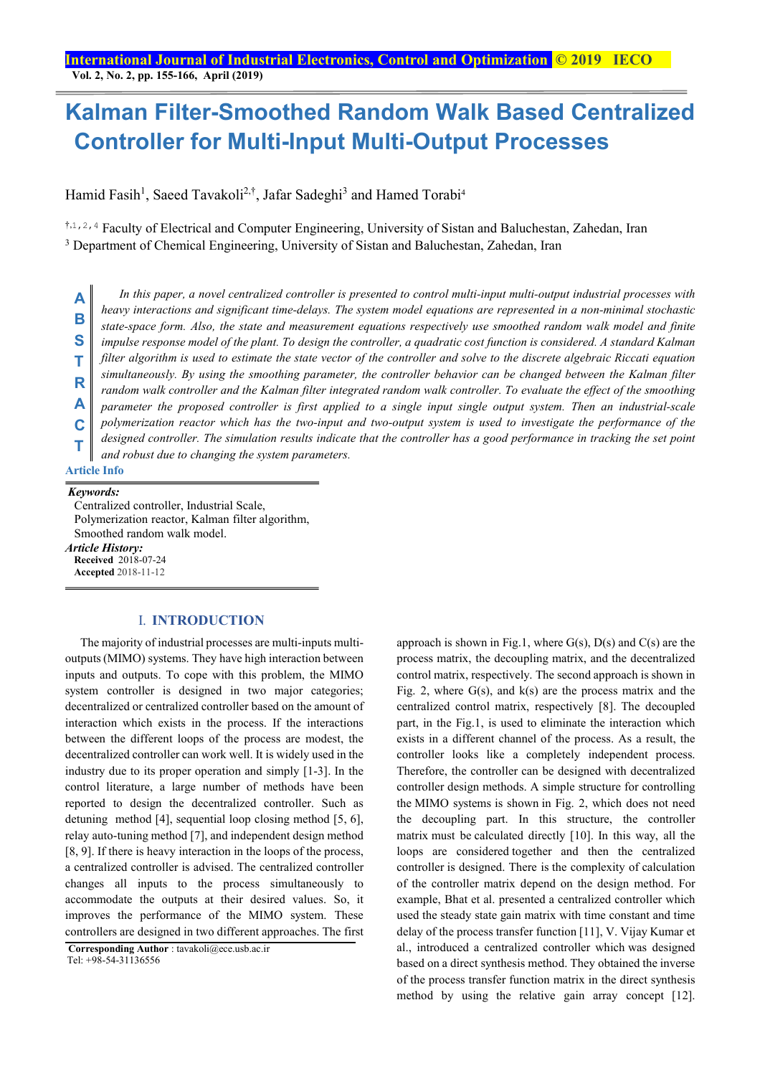## **Kalman Filter-Smoothed Random Walk Based Centralized Controller for Multi-Input Multi-Output Processes**

Hamid Fasih<sup>1</sup>, Saeed Tavakoli<sup>2,†</sup>, Jafar Sadeghi<sup>3</sup> and Hamed Torabi<sup>4</sup>

†,1,2,4 Faculty of Electrical and Computer Engineering, University of Sistan and Baluchestan, Zahedan, Iran <sup>3</sup> Department of Chemical Engineering, University of Sistan and Baluchestan, Zahedan, Iran

*In this paper, a novel centralized controller is presented to control multi-input multi-output industrial processes with heavy interactions and significant time-delays. The system model equations are represented in a non-minimal stochastic state-space form. Also, the state and measurement equations respectively use smoothed random walk model and finite impulse response model of the plant. To design the controller, a quadratic cost function is considered. A standard Kalman filter algorithm is used to estimate the state vector of the controller and solve to the discrete algebraic Riccati equation simultaneously. By using the smoothing parameter, the controller behavior can be changed between the Kalman filter random walk controller and the Kalman filter integrated random walk controller. To evaluate the effect of the smoothing parameter the proposed controller is first applied to a single input single output system. Then an industrial-scale polymerization reactor which has the two-input and two-output system is used to investigate the performance of the designed controller. The simulation results indicate that the controller has a good performance in tracking the set point and robust due to changing the system parameters.* **Article Info A B S T R A C T**

#### *Keywords:*

 Centralized controller, Industrial Scale, Polymerization reactor, Kalman filter algorithm, Smoothed random walk model. *Article History:*  **Received** 2018-07-24 **Accepted** 2018-11-12

### I. **INTRODUCTION**

The majority of industrial processes are multi-inputs multioutputs (MIMO) systems. They have high interaction between inputs and outputs. To cope with this problem, the MIMO system controller is designed in two major categories; decentralized or centralized controller based on the amount of interaction which exists in the process. If the interactions between the different loops of the process are modest, the decentralized controller can work well. It is widely used in the industry due to its proper operation and simply [1-3]. In the control literature, a large number of methods have been reported to design the decentralized controller. Such as detuning method [4], sequential loop closing method [5, 6], relay auto-tuning method [7], and independent design method [8, 9]. If there is heavy interaction in the loops of the process, a centralized controller is advised. The centralized controller changes all inputs to the process simultaneously to accommodate the outputs at their desired values. So, it improves the performance of the MIMO system. These controllers are designed in two different approaches. The first

approach is shown in Fig.1, where  $G(s)$ ,  $D(s)$  and  $C(s)$  are the process matrix, the decoupling matrix, and the decentralized control matrix, respectively. The second approach is shown in Fig. 2, where  $G(s)$ , and  $k(s)$  are the process matrix and the centralized control matrix, respectively [8]. The decoupled part, in the Fig.1, is used to eliminate the interaction which exists in a different channel of the process. As a result, the controller looks like a completely independent process. Therefore, the controller can be designed with decentralized controller design methods. A simple structure for controlling the MIMO systems is shown in Fig. 2, which does not need the decoupling part. In this structure, the controller matrix must be calculated directly [10]. In this way, all the loops are considered together and then the centralized controller is designed. There is the complexity of calculation of the controller matrix depend on the design method. For example, Bhat et al. presented a centralized controller which used the steady state gain matrix with time constant and time delay of the process transfer function [11], V. Vijay Kumar et al., introduced a centralized controller which was designed based on a direct synthesis method. They obtained the inverse of the process transfer function matrix in the direct synthesis method by using the relative gain array concept [12].

**Corresponding Author** : tavakoli@ece.usb.ac.ir Tel: +98-54-31136556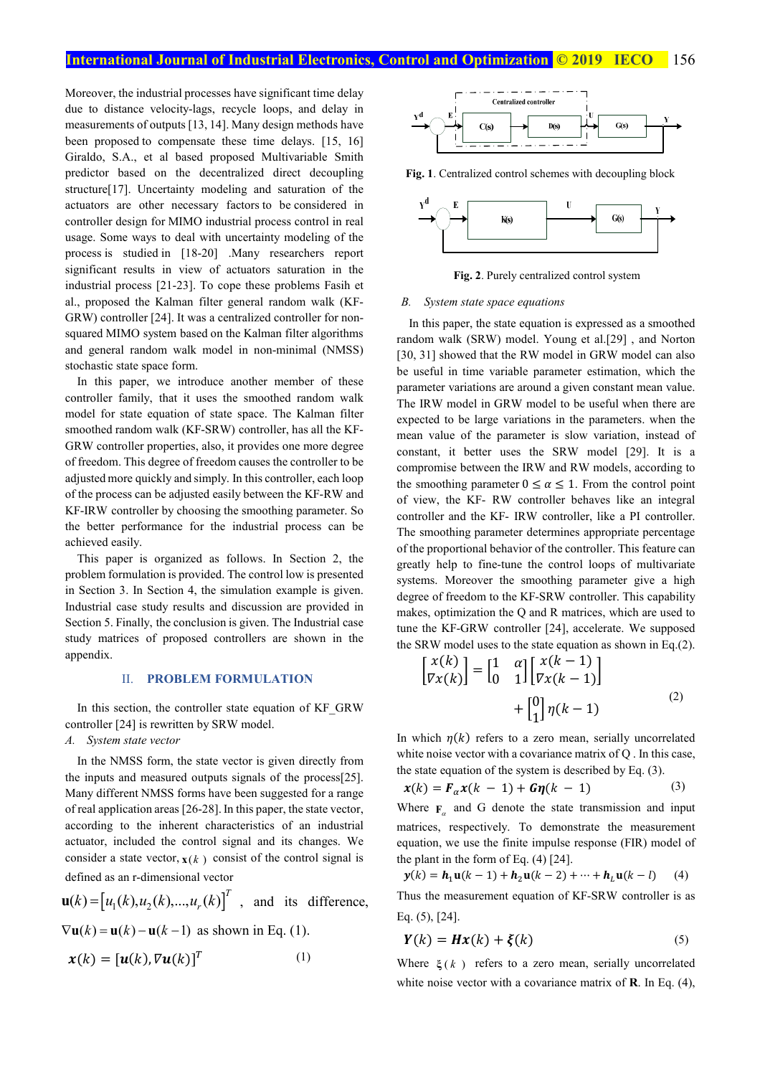Moreover, the industrial processes have significant time delay due to distance velocity-lags, recycle loops, and delay in measurements of outputs [13, 14]. Many design methods have been proposed to compensate these time delays. [15, 16] Giraldo, S.A., et al based proposed Multivariable Smith predictor based on the decentralized direct decoupling structure[17]. Uncertainty modeling and saturation of the actuators are other necessary factors to be considered in controller design for MIMO industrial process control in real usage. Some ways to deal with uncertainty modeling of the process is studied in [18-20] .Many researchers report significant results in view of actuators saturation in the industrial process [21-23]. To cope these problems Fasih et al., proposed the Kalman filter general random walk (KF-GRW) controller [24]. It was a centralized controller for nonsquared MIMO system based on the Kalman filter algorithms and general random walk model in non-minimal (NMSS) stochastic state space form.

In this paper, we introduce another member of these controller family, that it uses the smoothed random walk model for state equation of state space. The Kalman filter smoothed random walk (KF-SRW) controller, has all the KF-GRW controller properties, also, it provides one more degree of freedom. This degree of freedom causes the controller to be adjusted more quickly and simply. In this controller, each loop of the process can be adjusted easily between the KF-RW and KF-IRW controller by choosing the smoothing parameter. So the better performance for the industrial process can be achieved easily.

This paper is organized as follows. In Section 2, the problem formulation is provided. The control low is presented in Section 3. In Section 4, the simulation example is given. Industrial case study results and discussion are provided in Section 5. Finally, the conclusion is given. The Industrial case study matrices of proposed controllers are shown in the appendix.

#### II. **PROBLEM FORMULATION**

In this section, the controller state equation of KF\_GRW controller [24] is rewritten by SRW model.

#### *A. System state vector*

In the NMSS form, the state vector is given directly from the inputs and measured outputs signals of the process[25]. Many different NMSS forms have been suggested for a range of real application areas [26-28]. In this paper, the state vector, according to the inherent characteristics of an industrial actuator, included the control signal and its changes. We consider a state vector,  $\mathbf{x}(k)$  consist of the control signal is defined as an r-dimensional vector

$$
\mathbf{u}(k) = [u_1(k), u_2(k), \dots, u_r(k)]^T
$$
, and its difference,  

$$
\nabla \mathbf{u}(k) = \mathbf{u}(k) - \mathbf{u}(k-1)
$$
 as shown in Eq. (1)

$$
V\mathbf{u}(\kappa) = \mathbf{u}(\kappa) - \mathbf{u}(\kappa - 1)
$$
 as shown in Eq. (1)

$$
\mathbf{x}(k) = [\mathbf{u}(k), \nabla \mathbf{u}(k)]^T
$$
 (1)



**Fig. 1**. Centralized control schemes with decoupling block



**Fig. 2**. Purely centralized control system

#### *B. System state space equations*

In this paper, the state equation is expressed as a smoothed random walk (SRW) model. Young et al.[29] , and Norton [30, 31] showed that the RW model in GRW model can also be useful in time variable parameter estimation, which the parameter variations are around a given constant mean value. The IRW model in GRW model to be useful when there are expected to be large variations in the parameters. when the mean value of the parameter is slow variation, instead of constant, it better uses the SRW model [29]. It is a compromise between the IRW and RW models, according to the smoothing parameter  $0 \le \alpha \le 1$ . From the control point of view, the KF- RW controller behaves like an integral controller and the KF- IRW controller, like a PI controller. The smoothing parameter determines appropriate percentage of the proportional behavior of the controller. This feature can greatly help to fine-tune the control loops of multivariate systems. Moreover the smoothing parameter give a high degree of freedom to the KF-SRW controller. This capability makes, optimization the Q and R matrices, which are used to tune the KF-GRW controller [24], accelerate. We supposed the SRW model uses to the state equation as shown in Eq.(2).

$$
\begin{bmatrix} x(k) \\ \nabla x(k) \n\end{bmatrix} = \begin{bmatrix} 1 & \alpha \\ 0 & 1 \end{bmatrix} \begin{bmatrix} x(k-1) \\ \nabla x(k-1) \end{bmatrix} + \begin{bmatrix} 0 \\ 1 \end{bmatrix} \eta(k-1) \tag{2}
$$

In which  $n(k)$  refers to a zero mean, serially uncorrelated white noise vector with a covariance matrix of  $O$ . In this case, the state equation of the system is described by Eq. (3).

$$
\mathbf{x}(k) = \mathbf{F}_{\alpha} \mathbf{x}(k-1) + \mathbf{G} \mathbf{\eta}(k-1) \tag{3}
$$

Where  $\mathbf{F}_{\alpha}$  and G denote the state transmission and input matrices, respectively. To demonstrate the measurement equation, we use the finite impulse response (FIR) model of the plant in the form of Eq. (4) [24].

$$
y(k) = h_1 u(k-1) + h_2 u(k-2) + \dots + h_L u(k-l) \quad (4)
$$

Thus the measurement equation of KF-SRW controller is as Eq. (5), [24].

$$
Y(k) = Hx(k) + \xi(k)
$$
 (5)

Where  $\xi(k)$  refers to a zero mean, serially uncorrelated white noise vector with a covariance matrix of **R**. In Eq. (4),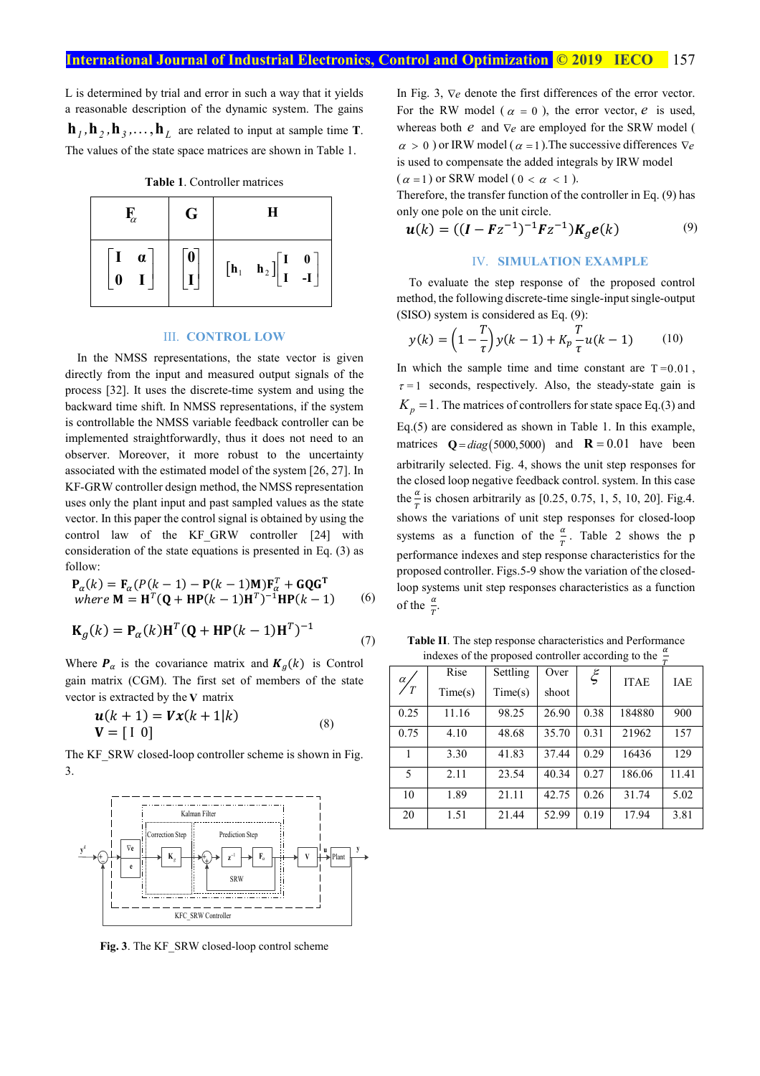L is determined by trial and error in such a way that it yields a reasonable description of the dynamic system. The gains  $\mathbf{h}_1, \mathbf{h}_2, \mathbf{h}_3, \dots, \mathbf{h}_L$  are related to input at sample time **T**. The values of the state space matrices are shown in Table 1.

|  | <b>Table 1. Controller matrices</b> |  |
|--|-------------------------------------|--|
|  |                                     |  |

| $\mathbf{F}_{\!\alpha}$               | G                | H                                                                                                                                             |  |  |
|---------------------------------------|------------------|-----------------------------------------------------------------------------------------------------------------------------------------------|--|--|
| $\begin{bmatrix} 1 & a \end{bmatrix}$ | $\boldsymbol{0}$ | $\begin{bmatrix} \mathbf{h}_1 & \mathbf{h}_2 \end{bmatrix} \begin{bmatrix} \mathbf{I} & \mathbf{0} \\ \mathbf{I} & -\mathbf{I} \end{bmatrix}$ |  |  |

#### III. **CONTROL LOW**

In the NMSS representations, the state vector is given directly from the input and measured output signals of the process [32]. It uses the discrete-time system and using the backward time shift. In NMSS representations, if the system is controllable the NMSS variable feedback controller can be implemented straightforwardly, thus it does not need to an observer. Moreover, it more robust to the uncertainty associated with the estimated model of the system [26, 27]. In KF-GRW controller design method, the NMSS representation uses only the plant input and past sampled values as the state vector. In this paper the control signal is obtained by using the control law of the KF\_GRW controller [24] with consideration of the state equations is presented in Eq. (3) as follow:

$$
\mathbf{P}_{\alpha}(k) = \mathbf{F}_{\alpha}(P(k-1) - \mathbf{P}(k-1)\mathbf{M})\mathbf{F}_{\alpha}^{T} + \mathbf{G}\mathbf{Q}\mathbf{G}^{T}
$$
  
where  $\mathbf{M} = \mathbf{H}^{T}(\mathbf{Q} + \mathbf{H}\mathbf{P}(k-1)\mathbf{H}^{T})^{-1}\mathbf{H}\mathbf{P}(k-1)$  (6)

$$
\mathbf{K}_g(k) = \mathbf{P}_\alpha(k)\mathbf{H}^T(\mathbf{Q} + \mathbf{H}\mathbf{P}(k-1)\mathbf{H}^T)^{-1}
$$
\n(7)

Where  $P_{\alpha}$  is the covariance matrix and  $K_{q}(k)$  is Control gain matrix (CGM). The first set of members of the state vector is extracted by the **V** matrix

$$
\mathbf{u}(k+1) = \mathbf{V}\mathbf{x}(k+1|k) \n\mathbf{V} = \begin{bmatrix} 1 & 0 \end{bmatrix}
$$
\n(8)

The KF\_SRW closed-loop controller scheme is shown in Fig. 3.



**Fig. 3**. The KF\_SRW closed-loop control scheme

In Fig. 3, ∇*e* denote the first differences of the error vector. For the RW model ( $\alpha = 0$ ), the error vector, *e* is used, whereas both *e* and  $∇<sub>e</sub>$  are employed for the SRW model (  $\alpha > 0$ ) or IRW model ( $\alpha = 1$ ). The successive differences  $\nabla e$ is used to compensate the added integrals by IRW model  $(\alpha = 1)$  or SRW model (  $0 < \alpha < 1$  ).

Therefore, the transfer function of the controller in Eq. (9) has only one pole on the unit circle.

$$
\mathbf{u}(k) = ((\mathbf{I} - \mathbf{F}z^{-1})^{-1}\mathbf{F}z^{-1})\mathbf{K}_g \mathbf{e}(k) \tag{9}
$$

#### IV. **SIMULATION EXAMPLE**

To evaluate the step response of the proposed control method, the following discrete-time single-input single-output (SISO) system is considered as Eq. (9):

$$
y(k) = \left(1 - \frac{T}{\tau}\right)y(k-1) + K_p \frac{T}{\tau}u(k-1) \tag{10}
$$

In which the sample time and time constant are  $T = 0.01$ ,  $\tau = 1$  seconds, respectively. Also, the steady-state gain is  $K_p = 1$ . The matrices of controllers for state space Eq.(3) and Eq.(5) are considered as shown in Table 1. In this example, matrices  $Q = diag(5000, 5000)$  and  $R = 0.01$  have been arbitrarily selected. Fig. 4, shows the unit step responses for the closed loop negative feedback control. system. In this case the  $\frac{\alpha}{\pi}$  is chosen arbitrarily as [0.25, 0.75, 1, 5, 10, 20]. Fig.4. shows the variations of unit step responses for closed-loop systems as a function of the  $\frac{\alpha}{T}$ . Table 2 shows the p performance indexes and step response characteristics for the proposed controller. Figs.5-9 show the variation of the closedloop systems unit step responses characteristics as a function of the  $\frac{\alpha}{T}$ .

**Table II**. The step response characteristics and Performance indexes of the proposed controller according to the  $\frac{\alpha}{\pi}$ 

|                    | Rise    | Settling | Over  | $\xi$ | <b>ITAE</b> | <b>IAE</b> |
|--------------------|---------|----------|-------|-------|-------------|------------|
| $\frac{\alpha}{T}$ | Time(s) | Time(s)  | shoot |       |             |            |
| 0.25               | 11.16   | 98.25    | 26.90 | 0.38  | 184880      | 900        |
| 0.75               | 4.10    | 48.68    | 35.70 | 0.31  | 21962       | 157        |
|                    | 3.30    | 41.83    | 37.44 | 0.29  | 16436       | 129        |
| 5                  | 2.11    | 23.54    | 40.34 | 0.27  | 186.06      | 11.41      |
| 10                 | 1.89    | 21.11    | 42.75 | 0.26  | 31.74       | 5.02       |
| 20                 | 1.51    | 21.44    | 52.99 | 0.19  | 17.94       | 3.81       |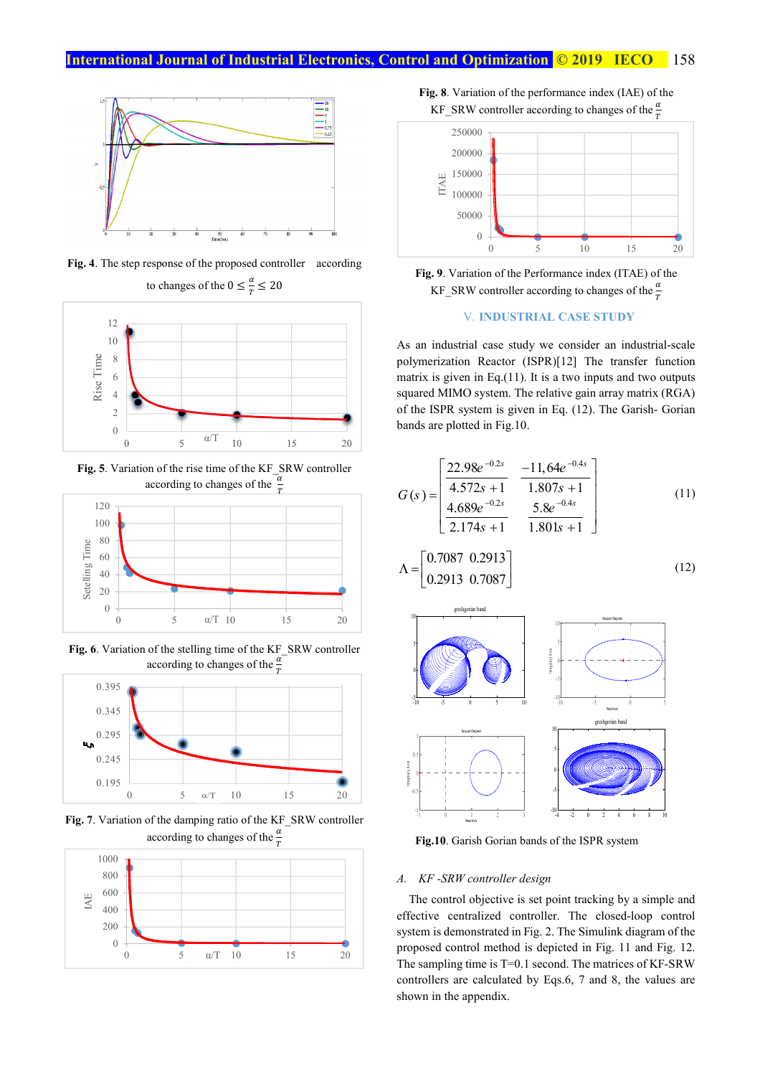

**Fig. 4**. The step response of the proposed controller according



Fig. 5. Variation of the rise time of the KF\_SRW controller according to changes of the  $\frac{\alpha}{T}$ 



**Fig. 6**. Variation of the stelling time of the KF\_SRW controller according to changes of the  $\frac{\alpha}{T}$ 



**Fig. 7**. Variation of the damping ratio of the KF\_SRW controller according to changes of the  $\frac{\alpha}{T}$ 



**Fig. 8**. Variation of the performance index (IAE) of the KF\_SRW controller according to changes of the  $\frac{\alpha}{T}$ 



**Fig. 9**. Variation of the Performance index (ITAE) of the KF\_SRW controller according to changes of the  $\frac{\alpha}{T}$ 

#### V. **INDUSTRIAL CASE STUDY**

As an industrial case study we consider an industrial-scale polymerization Reactor (ISPR)[12] The transfer function matrix is given in Eq.(11). It is a two inputs and two outputs squared MIMO system. The relative gain array matrix (RGA) of the ISPR system is given in Eq. (12). The Garish- Gorian bands are plotted in Fig.10.

$$
G(s) = \begin{bmatrix} \frac{22.98e^{-0.2s}}{4.572s + 1} & \frac{-11,64e^{-0.4s}}{1.807s + 1} \\ \frac{4.689e^{-0.2s}}{2.174s + 1} & \frac{5.8e^{-0.4s}}{1.801s + 1} \end{bmatrix}
$$
(11)  
\n
$$
\Lambda = \begin{bmatrix} 0.7087 & 0.2913 \\ 0.2913 & 0.7087 \end{bmatrix}
$$
(12)



**Fig.10**. Garish Gorian bands of the ISPR system

#### *A. KF -SRW controller design*

The control objective is set point tracking by a simple and effective centralized controller. The closed-loop control system is demonstrated in Fig. 2. The Simulink diagram of the proposed control method is depicted in Fig. 11 and Fig. 12. The sampling time is T=0.1 second. The matrices of KF-SRW controllers are calculated by Eqs.6, 7 and 8, the values are shown in the appendix.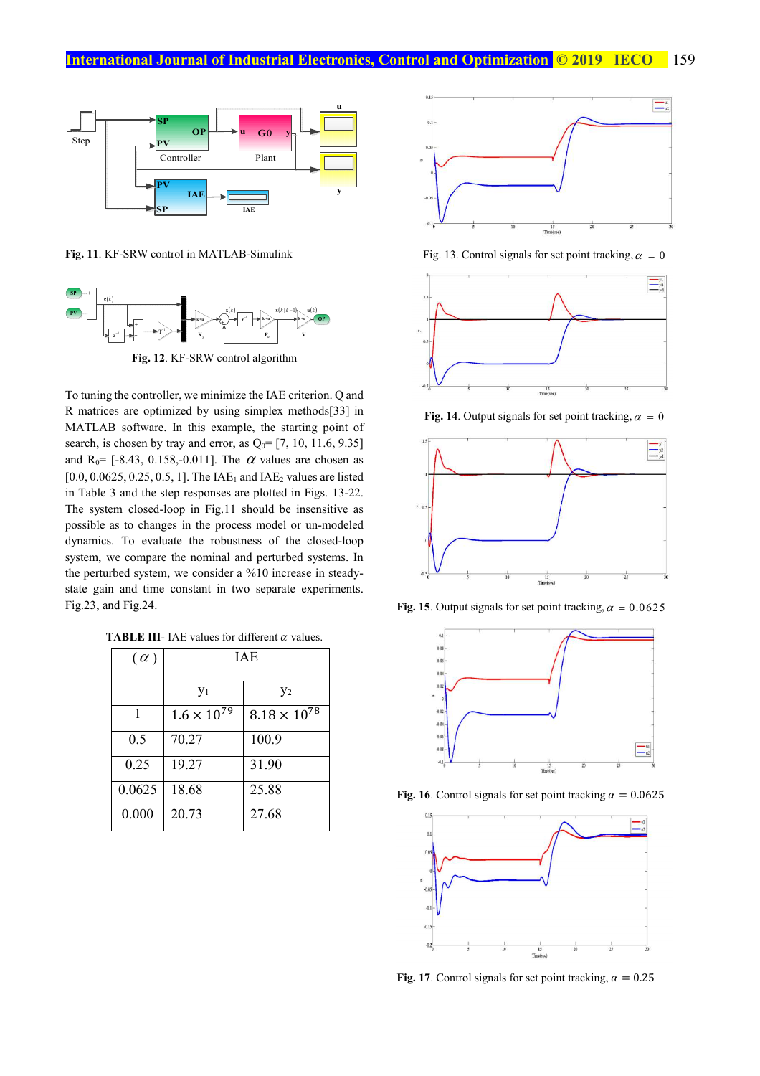

**Fig. 11**. KF-SRW control in MATLAB-Simulink



To tuning the controller, we minimize the IAE criterion. Q and R matrices are optimized by using simplex methods[33] in MATLAB software. In this example, the starting point of search, is chosen by tray and error, as  $Q_0$ = [7, 10, 11.6, 9.35] and R<sub>0</sub>= [-8.43, 0.158,-0.011]. The  $\alpha$  values are chosen as  $[0.0, 0.0625, 0.25, 0.5, 1]$ . The IAE<sub>1</sub> and IAE<sub>2</sub> values are listed in Table 3 and the step responses are plotted in Figs. 13-22. The system closed-loop in Fig.11 should be insensitive as possible as to changes in the process model or un-modeled dynamics. To evaluate the robustness of the closed-loop system, we compare the nominal and perturbed systems. In the perturbed system, we consider a %10 increase in steadystate gain and time constant in two separate experiments. Fig.23, and Fig.24.

**TABLE III-** IAE values for different  $\alpha$  values.

| $(\alpha)$ | <b>IAE</b>           |                       |  |
|------------|----------------------|-----------------------|--|
|            | $y_1$                | $y_2$                 |  |
|            | $1.6 \times 10^{79}$ | $8.18 \times 10^{78}$ |  |
| 0.5        | 70.27                | 100.9                 |  |
| 0.25       | 19.27                | 31.90                 |  |
| 0.0625     | 18.68                | 25.88                 |  |
| 0.000      | 20.73                | 27.68                 |  |



Fig. 13. Control signals for set point tracking,  $\alpha = 0$ 



**Fig. 14**. Output signals for set point tracking,  $\alpha = 0$ 



**Fig. 15**. Output signals for set point tracking,  $\alpha = 0.0625$ 



**Fig. 16**. Control signals for set point tracking  $\alpha = 0.0625$ 



**Fig. 17**. Control signals for set point tracking,  $\alpha = 0.25$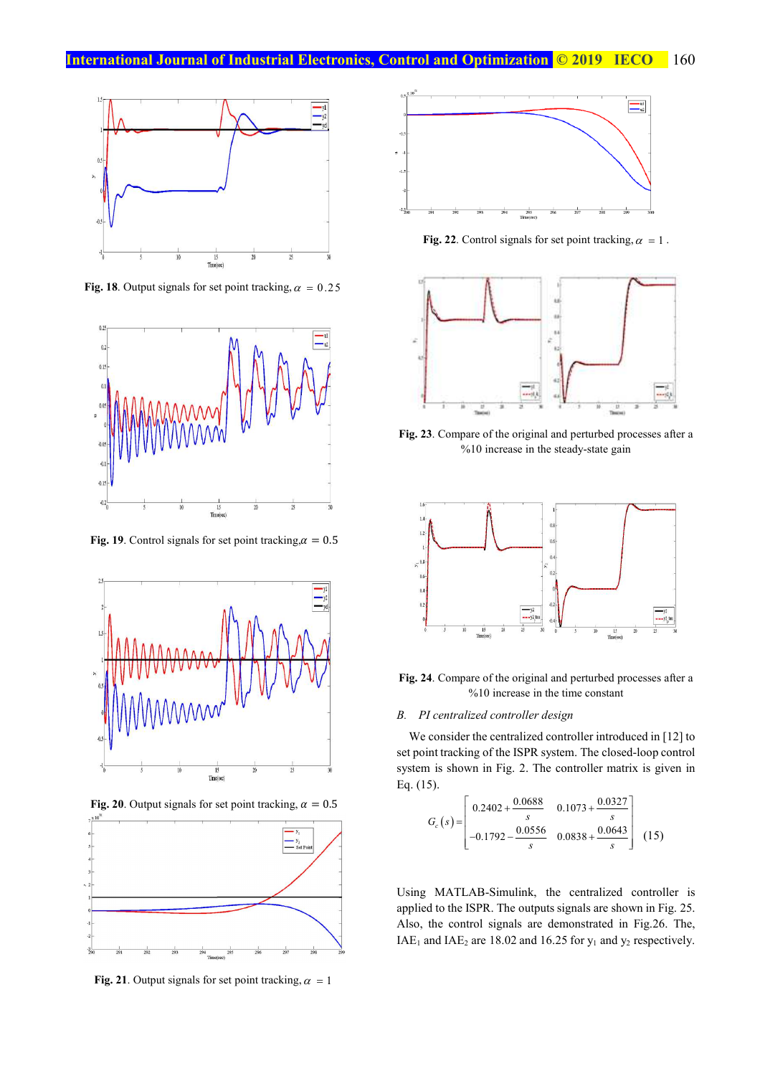

**Fig. 18**. Output signals for set point tracking,  $\alpha = 0.25$ 



**Fig. 19**. Control signals for set point tracking,  $\alpha = 0.5$ 



**Fig. 20**. Output signals for set point tracking,  $\alpha = 0.5$ 



**Fig. 21**. Output signals for set point tracking,  $\alpha = 1$ 



**Fig. 22**. Control signals for set point tracking,  $\alpha = 1$ .



**Fig. 23**. Compare of the original and perturbed processes after a %10 increase in the steady-state gain



**Fig. 24**. Compare of the original and perturbed processes after a %10 increase in the time constant

#### *B. PI centralized controller design*

We consider the centralized controller introduced in [12] to set point tracking of the ISPR system. The closed-loop control system is shown in Fig. 2. The controller matrix is given in Eq. (15).

$$
G_c(s) = \begin{bmatrix} 0.2402 + \frac{0.0688}{s} & 0.1073 + \frac{0.0327}{s} \\ -0.1792 - \frac{0.0556}{s} & 0.0838 + \frac{0.0643}{s} \end{bmatrix}
$$
 (15)

Using MATLAB-Simulink, the centralized controller is applied to the ISPR. The outputs signals are shown in Fig. 25. Also, the control signals are demonstrated in Fig.26. The, IAE<sub>1</sub> and IAE<sub>2</sub> are 18.02 and 16.25 for  $y_1$  and  $y_2$  respectively.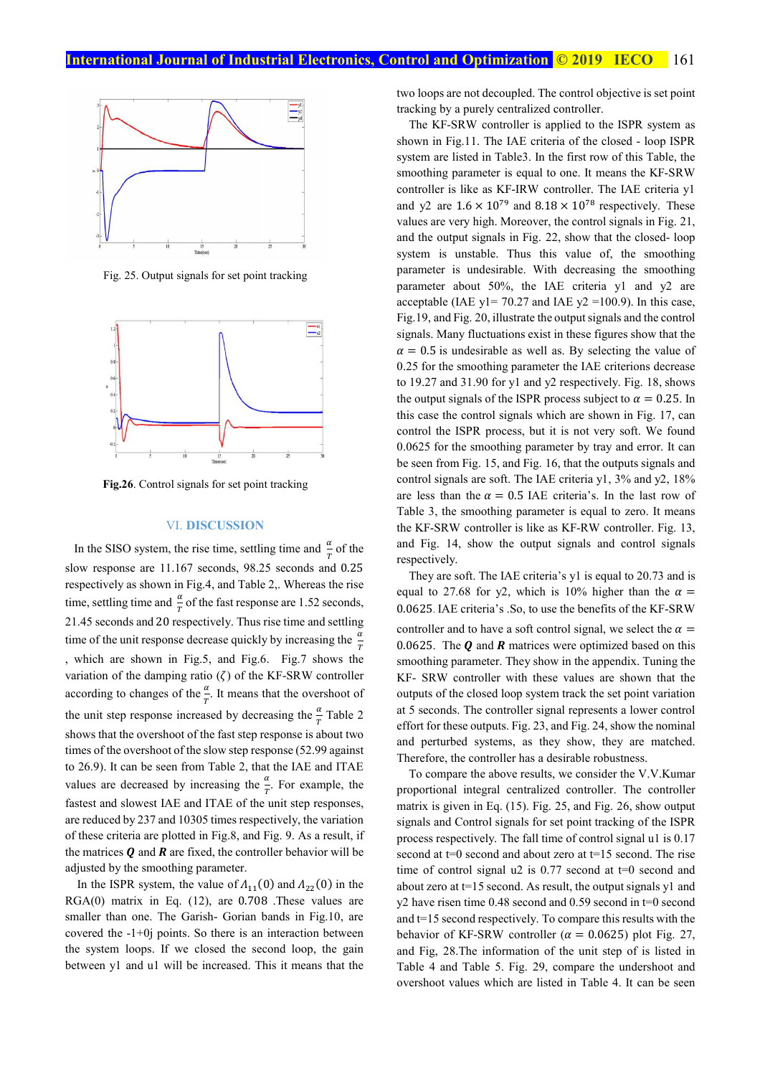

Fig. 25. Output signals for set point tracking



**Fig.26**. Control signals for set point tracking

#### VI. **DISCUSSION**

In the SISO system, the rise time, settling time and  $\frac{\alpha}{T}$  of the slow response are 11.167 seconds, 98.25 seconds and 0.25 respectively as shown in Fig.4, and Table 2,. Whereas the rise time, settling time and  $\frac{\alpha}{T}$  of the fast response are 1.52 seconds, 21.45 seconds and 20 respectively. Thus rise time and settling time of the unit response decrease quickly by increasing the  $\frac{\alpha}{T}$ , which are shown in Fig.5, and Fig.6. Fig.7 shows the variation of the damping ratio  $(\zeta)$  of the KF-SRW controller according to changes of the  $\frac{\alpha}{T}$ . It means that the overshoot of the unit step response increased by decreasing the  $\frac{\alpha}{T}$  Table 2 shows that the overshoot of the fast step response is about two times of the overshoot of the slow step response (52.99 against to 26.9). It can be seen from Table 2, that the IAE and ITAE values are decreased by increasing the  $\frac{\alpha}{T}$ . For example, the fastest and slowest IAE and ITAE of the unit step responses, are reduced by 237 and 10305 times respectively, the variation of these criteria are plotted in Fig.8, and Fig. 9. As a result, if the matrices  $Q$  and  $R$  are fixed, the controller behavior will be adjusted by the smoothing parameter.

In the ISPR system, the value of  $A_{11}(0)$  and  $A_{22}(0)$  in the RGA(0) matrix in Eq. (12), are 0.708 .These values are smaller than one. The Garish- Gorian bands in Fig.10, are covered the -1+0j points. So there is an interaction between the system loops. If we closed the second loop, the gain between y1 and u1 will be increased. This it means that the

two loops are not decoupled. The control objective is set point tracking by a purely centralized controller.

The KF-SRW controller is applied to the ISPR system as shown in Fig.11. The IAE criteria of the closed - loop ISPR system are listed in Table3. In the first row of this Table, the smoothing parameter is equal to one. It means the KF-SRW controller is like as KF-IRW controller. The IAE criteria y1 and y2 are  $1.6 \times 10^{79}$  and  $8.18 \times 10^{78}$  respectively. These values are very high. Moreover, the control signals in Fig. 21, and the output signals in Fig. 22, show that the closed- loop system is unstable. Thus this value of, the smoothing parameter is undesirable. With decreasing the smoothing parameter about 50%, the IAE criteria y1 and y2 are acceptable (IAE  $y$ 1= 70.27 and IAE  $y$ 2 =100.9). In this case, Fig.19, and Fig. 20, illustrate the output signals and the control signals. Many fluctuations exist in these figures show that the  $\alpha$  = 0.5 is undesirable as well as. By selecting the value of 0.25 for the smoothing parameter the IAE criterions decrease to 19.27 and 31.90 for y1 and y2 respectively. Fig. 18, shows the output signals of the ISPR process subject to  $\alpha = 0.25$ . In this case the control signals which are shown in Fig. 17, can control the ISPR process, but it is not very soft. We found 0.0625 for the smoothing parameter by tray and error. It can be seen from Fig. 15, and Fig. 16, that the outputs signals and control signals are soft. The IAE criteria y1, 3% and y2, 18% are less than the  $\alpha = 0.5$  IAE criteria's. In the last row of Table 3, the smoothing parameter is equal to zero. It means the KF-SRW controller is like as KF-RW controller. Fig. 13, and Fig. 14, show the output signals and control signals respectively.

They are soft. The IAE criteria's y1 is equal to 20.73 and is equal to 27.68 for y2, which is 10% higher than the  $\alpha$  = 0.0625. IAE criteria's .So, to use the benefits of the KF-SRW controller and to have a soft control signal, we select the  $\alpha =$ 0.0625. The  $\boldsymbol{0}$  and  $\boldsymbol{R}$  matrices were optimized based on this smoothing parameter. They show in the appendix. Tuning the KF- SRW controller with these values are shown that the outputs of the closed loop system track the set point variation at 5 seconds. The controller signal represents a lower control effort for these outputs. Fig. 23, and Fig. 24, show the nominal and perturbed systems, as they show, they are matched. Therefore, the controller has a desirable robustness.

To compare the above results, we consider the V.V.Kumar proportional integral centralized controller. The controller matrix is given in Eq. (15). Fig. 25, and Fig. 26, show output signals and Control signals for set point tracking of the ISPR process respectively. The fall time of control signal u1 is 0.17 second at  $t=0$  second and about zero at  $t=15$  second. The rise time of control signal  $u^2$  is 0.77 second at  $t=0$  second and about zero at t=15 second. As result, the output signals y1 and y2 have risen time 0.48 second and 0.59 second in t=0 second and t=15 second respectively. To compare this results with the behavior of KF-SRW controller ( $\alpha = 0.0625$ ) plot Fig. 27, and Fig, 28.The information of the unit step of is listed in Table 4 and Table 5. Fig. 29, compare the undershoot and overshoot values which are listed in Table 4. It can be seen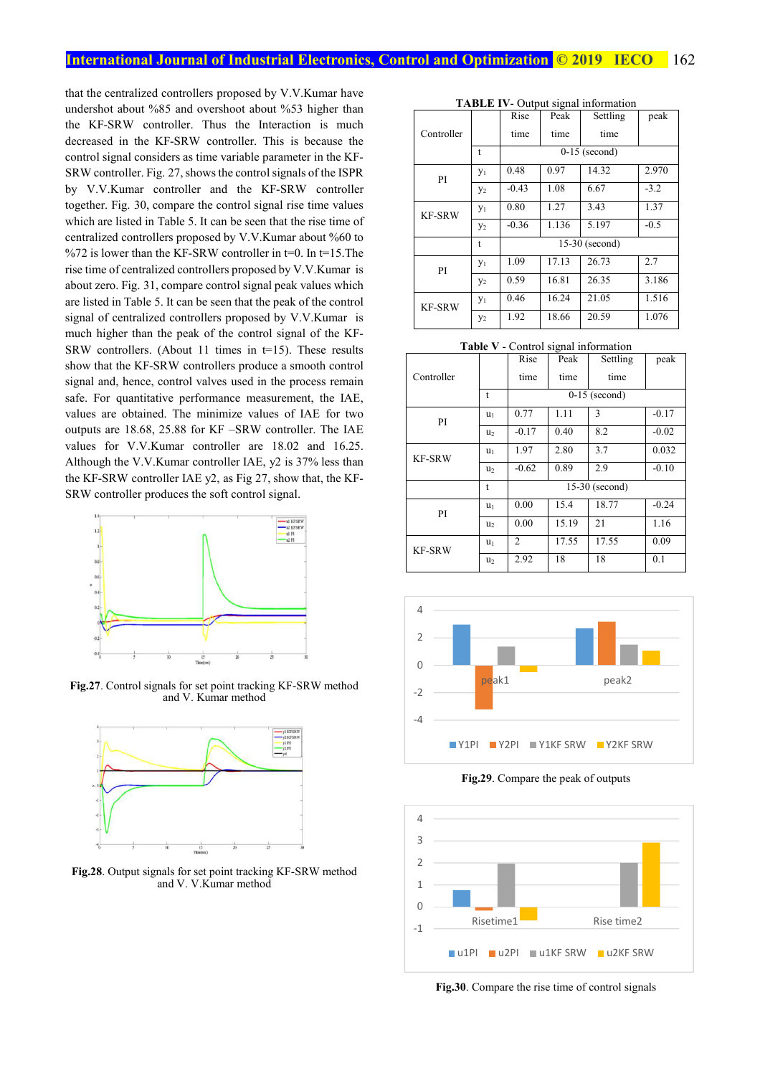#### **International Journal of Industrial Electronics, Control and Optimization © 2019 IECO** 162

that the centralized controllers proposed by V.V.Kumar have undershot about %85 and overshoot about %53 higher than the KF-SRW controller. Thus the Interaction is much decreased in the KF-SRW controller. This is because the control signal considers as time variable parameter in the KF-SRW controller. Fig. 27, shows the control signals of the ISPR by V.V.Kumar controller and the KF-SRW controller together. Fig. 30, compare the control signal rise time values which are listed in Table 5. It can be seen that the rise time of centralized controllers proposed by V.V.Kumar about %60 to %72 is lower than the KF-SRW controller in  $t=0$ . In  $t=15$ . The rise time of centralized controllers proposed by V.V.Kumar is about zero. Fig. 31, compare control signal peak values which are listed in Table 5. It can be seen that the peak of the control signal of centralized controllers proposed by V.V.Kumar is much higher than the peak of the control signal of the KF-SRW controllers. (About 11 times in t=15). These results show that the KF-SRW controllers produce a smooth control signal and, hence, control valves used in the process remain safe. For quantitative performance measurement, the IAE, values are obtained. The minimize values of IAE for two outputs are 18.68, 25.88 for KF –SRW controller. The IAE values for V.V.Kumar controller are 18.02 and 16.25. Although the V.V.Kumar controller IAE, y2 is 37% less than the KF-SRW controller IAE y2, as Fig 27, show that, the KF-SRW controller produces the soft control signal.



**Fig.27**. Control signals for set point tracking KF-SRW method and V. Kumar method



**Fig.28**. Output signals for set point tracking KF-SRW method and V. V.Kumar method

|  |  | <b>TABLE IV-</b> Output signal information |  |
|--|--|--------------------------------------------|--|
|  |  | $\sim$ $\sim$ $\sim$ $\sim$ $\sim$ $\sim$  |  |

|               |       | Rise    | Peak  | Settling         | peak   |
|---------------|-------|---------|-------|------------------|--------|
| Controller    |       | time    | time  | time             |        |
|               | t     |         |       | $0-15$ (second)  |        |
| PI            | $y_1$ | 0.48    | 0.97  | 14.32            | 2.970  |
|               | $y_2$ | $-0.43$ | 1.08  | 6.67             | $-3.2$ |
| <b>KF-SRW</b> | $y_1$ | 0.80    | 1.27  | 3.43             | 1.37   |
|               | $y_2$ | $-0.36$ | 1.136 | 5.197            | $-0.5$ |
|               | t     |         |       | $15-30$ (second) |        |
| PI            | $y_1$ | 1.09    | 17.13 | 26.73            | 2.7    |
|               | $y_2$ | 0.59    | 16.81 | 26.35            | 3.186  |
| <b>KF-SRW</b> | $y_1$ | 0.46    | 16.24 | 21.05            | 1.516  |
|               | $y_2$ | 1.92    | 18.66 | 20.59            | 1.076  |

**Table V** - Control signal information

|               |                | Rise           | Peak  | Settling         | peak    |
|---------------|----------------|----------------|-------|------------------|---------|
| Controller    |                | time           | time  | time             |         |
|               | t              |                |       | $0-15$ (second)  |         |
| PI            | u <sub>1</sub> | 0.77           | 1.11  | 3                | $-0.17$ |
|               | u <sub>2</sub> | $-0.17$        | 0.40  | 8.2              | $-0.02$ |
| <b>KF-SRW</b> | u <sub>1</sub> | 1.97           | 2.80  | 3.7              | 0.032   |
|               | u <sub>2</sub> | $-0.62$        | 0.89  | 2.9              | $-0.10$ |
|               | t              |                |       | $15-30$ (second) |         |
| PI            | $u_1$          | 0.00           | 15.4  | 18.77            | $-0.24$ |
|               | u <sub>2</sub> | 0.00           | 15.19 | 21               | 1.16    |
| <b>KF-SRW</b> | $u_1$          | $\overline{c}$ | 17.55 | 17.55            | 0.09    |
|               | u <sub>2</sub> | 2.92           | 18    | 18               | 0.1     |



**Fig.29**. Compare the peak of outputs



**Fig.30**. Compare the rise time of control signals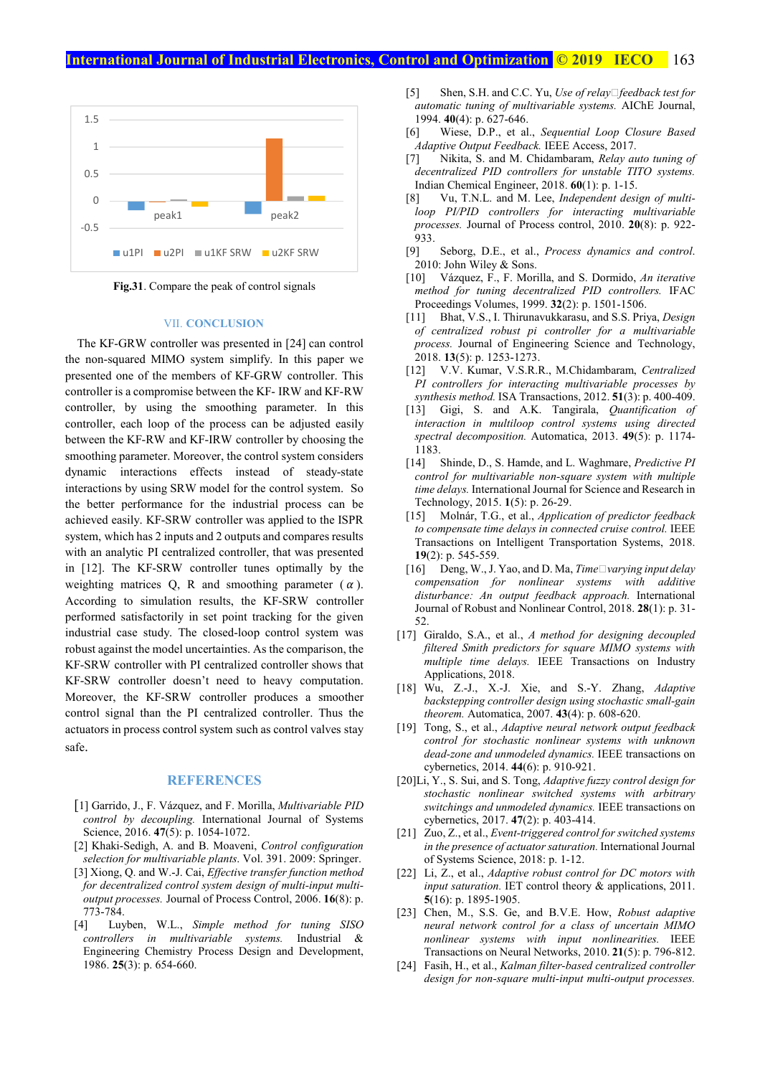#### **International Journal of Industrial Electronics, Control and Optimization © 2019 IECO 163**



**Fig.31**. Compare the peak of control signals

#### VII. **CONCLUSION**

The KF-GRW controller was presented in [24] can control the non-squared MIMO system simplify. In this paper we presented one of the members of KF-GRW controller. This controller is a compromise between the KF- IRW and KF-RW controller, by using the smoothing parameter. In this controller, each loop of the process can be adjusted easily between the KF-RW and KF-IRW controller by choosing the smoothing parameter. Moreover, the control system considers dynamic interactions effects instead of steady-state interactions by using SRW model for the control system. So the better performance for the industrial process can be achieved easily. KF-SRW controller was applied to the ISPR system, which has 2 inputs and 2 outputs and compares results with an analytic PI centralized controller, that was presented in [12]. The KF-SRW controller tunes optimally by the weighting matrices O, R and smoothing parameter  $(\alpha)$ . According to simulation results, the KF-SRW controller performed satisfactorily in set point tracking for the given industrial case study. The closed-loop control system was robust against the model uncertainties. As the comparison, the KF-SRW controller with PI centralized controller shows that KF-SRW controller doesn't need to heavy computation. Moreover, the KF-SRW controller produces a smoother control signal than the PI centralized controller. Thus the actuators in process control system such as control valves stay safe.

#### **REFERENCES**

- [1] Garrido, J., F. Vázquez, and F. Morilla, *Multivariable PID control by decoupling.* International Journal of Systems Science, 2016. **47**(5): p. 1054-1072.
- [2] Khaki-Sedigh, A. and B. Moaveni, *Control configuration selection for multivariable plants*. Vol. 391. 2009: Springer.
- [3] Xiong, Q. and W.-J. Cai, *Effective transfer function method for decentralized control system design of multi-input multioutput processes.* Journal of Process Control, 2006. **16**(8): p. 773-784.
- [4] Luyben, W.L., *Simple method for tuning SISO controllers in multivariable systems.* Industrial & Engineering Chemistry Process Design and Development, 1986. **25**(3): p. 654-660.
- [5] Shen, S.H. and C.C. Yu, *Use of relay*□feedback test for *automatic tuning of multivariable systems.* AIChE Journal, 1994. **40**(4): p. 627-646.
- [6] Wiese, D.P., et al., *Sequential Loop Closure Based Adaptive Output Feedback.* IEEE Access, 2017.
- [7] Nikita, S. and M. Chidambaram, *Relay auto tuning of decentralized PID controllers for unstable TITO systems.* Indian Chemical Engineer, 2018. **60**(1): p. 1-15.
- [8] Vu, T.N.L. and M. Lee, *Independent design of multiloop PI/PID controllers for interacting multivariable processes.* Journal of Process control, 2010. **20**(8): p. 922-  $933.$
- [9] Seborg, D.E., et al., *Process dynamics and control*. 2010: John Wiley & Sons.
- [10] Vázquez, F., F. Morilla, and S. Dormido, *An iterative method for tuning decentralized PID controllers.* IFAC Proceedings Volumes, 1999. **32**(2): p. 1501-1506.
- [11] Bhat, V.S., I. Thirunavukkarasu, and S.S. Priya, *Design of centralized robust pi controller for a multivariable process.* Journal of Engineering Science and Technology, 2018. **13**(5): p. 1253-1273.
- [12] V.V. Kumar, V.S.R.R., M.Chidambaram, *Centralized PI controllers for interacting multivariable processes by synthesis method.* ISA Transactions, 2012. **51**(3): p. 400-409.
- [13] Gigi, S. and A.K. Tangirala, *Quantification of interaction in multiloop control systems using directed spectral decomposition.* Automatica, 2013. **49**(5): p. 1174- 1183.
- [14] Shinde, D., S. Hamde, and L. Waghmare, *Predictive PI control for multivariable non-square system with multiple time delays.* International Journal for Science and Research in Technology, 2015. **1**(5): p. 26-29.
- [15] Molnár, T.G., et al., *Application of predictor feedback to compensate time delays in connected cruise control.* IEEE Transactions on Intelligent Transportation Systems, 2018. **19**(2): p. 545-559.
- [16] Deng, W., J. Yao, and D. Ma, *Time*□varying input delay *compensation for nonlinear systems with additive disturbance: An output feedback approach.* International Journal of Robust and Nonlinear Control, 2018. **28**(1): p. 31- 52.
- [17] Giraldo, S.A., et al., *A method for designing decoupled filtered Smith predictors for square MIMO systems with multiple time delays.* IEEE Transactions on Industry Applications, 2018.
- [18] Wu, Z.-J., X.-J. Xie, and S.-Y. Zhang, *Adaptive backstepping controller design using stochastic small-gain theorem.* Automatica, 2007. **43**(4): p. 608-620.
- [19] Tong, S., et al., *Adaptive neural network output feedback control for stochastic nonlinear systems with unknown dead-zone and unmodeled dynamics.* IEEE transactions on cybernetics, 2014. **44**(6): p. 910-921.
- [20]Li, Y., S. Sui, and S. Tong, *Adaptive fuzzy control design for stochastic nonlinear switched systems with arbitrary switchings and unmodeled dynamics.* IEEE transactions on cybernetics, 2017. **47**(2): p. 403-414.
- [21] Zuo, Z., et al., *Event-triggered control for switched systems in the presence of actuator saturation.* International Journal of Systems Science, 2018: p. 1-12.
- [22] Li, Z., et al., *Adaptive robust control for DC motors with input saturation.* IET control theory  $\&$  applications, 2011. **5**(16): p. 1895-1905.
- [23] Chen, M., S.S. Ge, and B.V.E. How, *Robust adaptive neural network control for a class of uncertain MIMO nonlinear systems with input nonlinearities.* IEEE Transactions on Neural Networks, 2010. **21**(5): p. 796-812.
- [24] Fasih, H., et al., *Kalman filter-based centralized controller design for non-square multi-input multi-output processes.*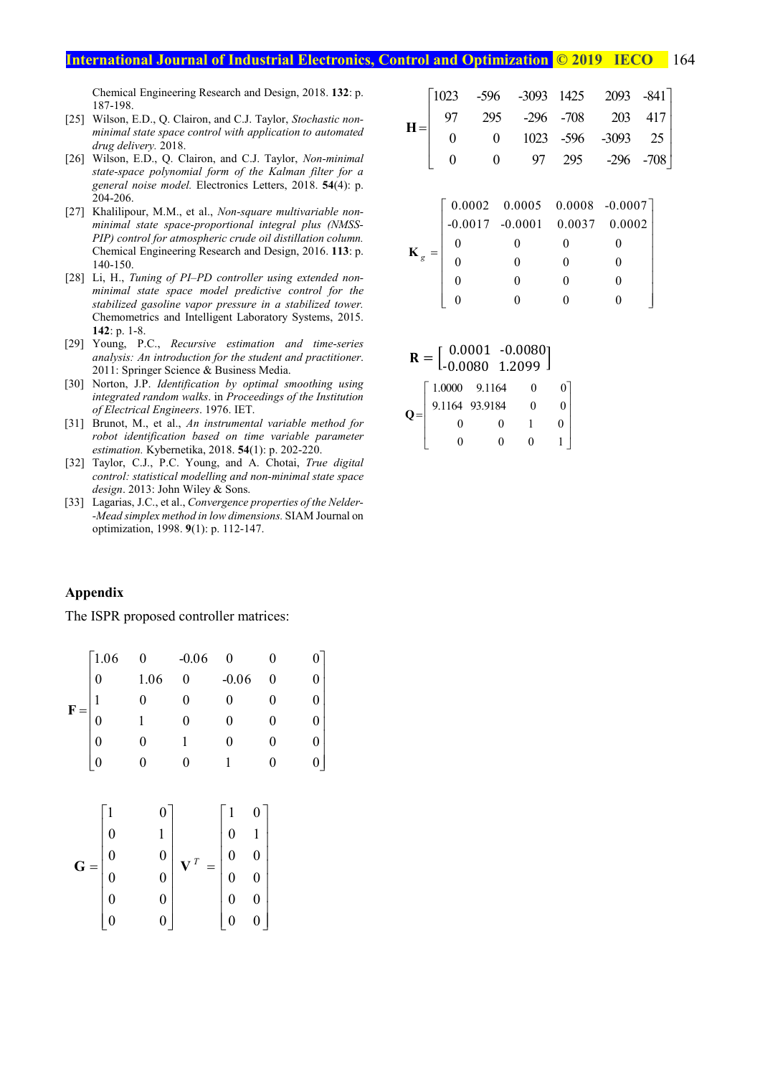Chemical Engineering Research and Design, 2018. **132**: p. 187-198.

- [25] Wilson, E.D., Q. Clairon, and C.J. Taylor, *Stochastic nonminimal state space control with application to automated drug delivery.* 2018.
- [26] Wilson, E.D., Q. Clairon, and C.J. Taylor, *Non-minimal state-space polynomial form of the Kalman filter for a general noise model.* Electronics Letters, 2018. **54**(4): p. 204-206.
- [27] Khalilipour, M.M., et al., *Non-square multivariable nonminimal state space-proportional integral plus (NMSS-PIP) control for atmospheric crude oil distillation column.* Chemical Engineering Research and Design, 2016. **113**: p. 140-150.
- [28] Li, H., *Tuning of PI–PD controller using extended nonminimal state space model predictive control for the stabilized gasoline vapor pressure in a stabilized tower.* Chemometrics and Intelligent Laboratory Systems, 2015. **142**: p. 1-8.
- [29] Young, P.C., *Recursive estimation and time-series analysis: An introduction for the student and practitioner*. 2011: Springer Science & Business Media.
- [30] Norton, J.P. *Identification by optimal smoothing using integrated random walks*. in *Proceedings of the Institution of Electrical Engineers*. 1976. IET.
- [31] Brunot, M., et al., *An instrumental variable method for robot identification based on time variable parameter estimation.* Kybernetika, 2018. **54**(1): p. 202-220.
- [32] Taylor, C.J., P.C. Young, and A. Chotai, *True digital control: statistical modelling and non-minimal state space design*. 2013: John Wiley & Sons.
- [33] Lagarias, J.C., et al., *Convergence properties of the Nelder- -Mead simplex method in low dimensions.* SIAM Journal on optimization, 1998. **9**(1): p. 112-147.

#### 1023 -596 -3093 1425 2093 -841 97 295 -296 -708 203 417  $\begin{vmatrix} 0 & 0 & 1023 & -596 & -3093 & 25 \end{vmatrix}$ 0 0 97 295 -296 -708  $=\begin{bmatrix} 97 & 293 & -290 & -708 & 203 & 417 \\ 0 & 0 & 1932 & 506 & 2982 & 25 \end{bmatrix}$  $\begin{bmatrix} 0 & 0 & 0 \\ 0 & 0 & 0 \end{bmatrix} \begin{bmatrix} 0 & 0 \\ 0 & 0 \end{bmatrix} \begin{bmatrix} 0 & 0 \\ 0 & 0 \end{bmatrix} \begin{bmatrix} 0 & 0 \\ 0 & 0 \end{bmatrix}$  $\begin{bmatrix} 0 & 0 & 97 & 295 & -296 & -708 \end{bmatrix}$  $H =$

|                | $\begin{bmatrix} 0.0002 & 0.0005 & 0.0008 & -0.0007 \\ -0.0017 & -0.0001 & 0.0037 & 0.0002 \end{bmatrix}$ |  |
|----------------|-----------------------------------------------------------------------------------------------------------|--|
|                |                                                                                                           |  |
|                |                                                                                                           |  |
| $\mathbf{K}_g$ |                                                                                                           |  |
|                |                                                                                                           |  |
|                |                                                                                                           |  |

|  | $\mathbf{R} = \begin{bmatrix} 0.0001 & -0.0080 \\ -0.0080 & 1.2099 \end{bmatrix}$ |  |  |
|--|-----------------------------------------------------------------------------------|--|--|
|  |                                                                                   |  |  |
|  | $1.0000$ 9.1164<br>9.1164 93.9184                                                 |  |  |
|  |                                                                                   |  |  |
|  |                                                                                   |  |  |

#### **Appendix**

The ISPR proposed controller matrices:

|              | 1.06             | 0    | $-0.06$<br>0 |         |   |  |
|--------------|------------------|------|--------------|---------|---|--|
|              | $\boldsymbol{0}$ | 1.06 |              | $-0.06$ | 0 |  |
| $\mathbf{F}$ | 1                |      |              |         |   |  |
|              | $\overline{0}$   |      |              |         |   |  |
|              | $\overline{0}$   |      |              |         |   |  |
|              | $\overline{0}$   |      |              |         | 0 |  |
|              |                  |      |              |         |   |  |

$$
\mathbf{G} = \begin{bmatrix} 1 & 0 \\ 0 & 1 \\ 0 & 0 \\ 0 & 0 \\ 0 & 0 \\ 0 & 0 \\ 0 & 0 \end{bmatrix} \mathbf{V}^T = \begin{bmatrix} 1 & 0 \\ 0 & 1 \\ 0 & 0 \\ 0 & 0 \\ 0 & 0 \\ 0 & 0 \end{bmatrix}
$$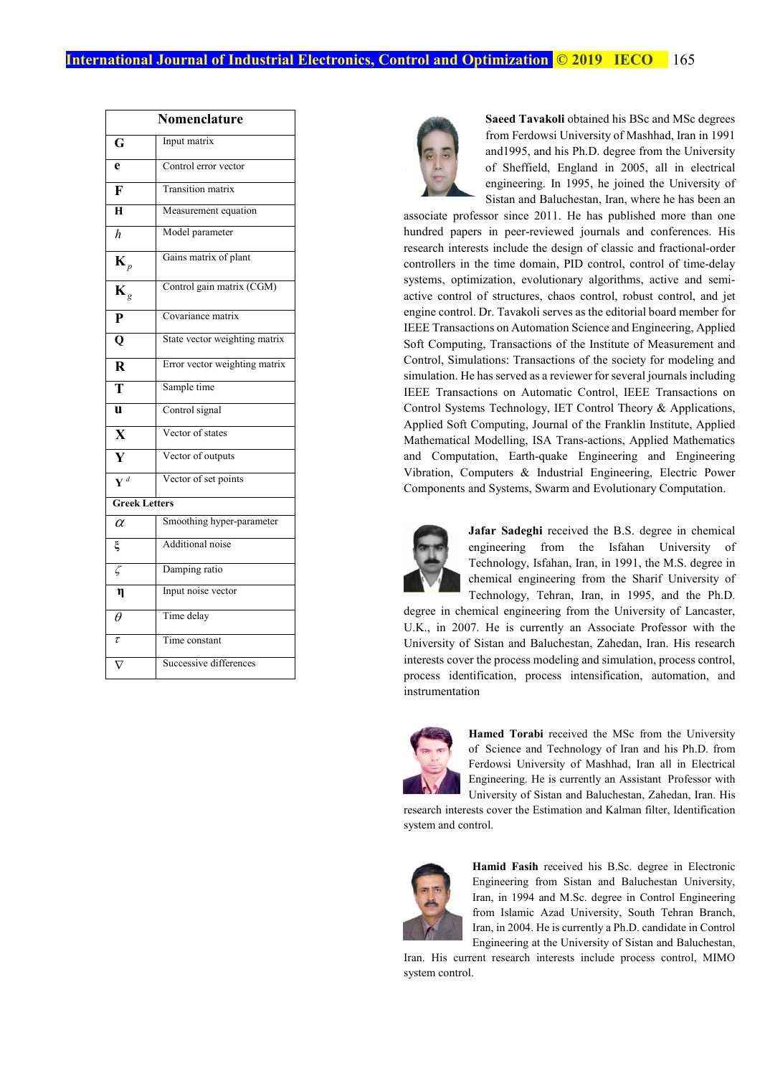|                           | Nomenclature                  |  |  |  |  |
|---------------------------|-------------------------------|--|--|--|--|
| $\overline{\mathbf{G}}$   | Input matrix                  |  |  |  |  |
| e                         | Control error vector          |  |  |  |  |
| $\overline{\mathbf{F}}$   | <b>Transition matrix</b>      |  |  |  |  |
| H                         | Measurement equation          |  |  |  |  |
| $\overline{h}$            | Model parameter               |  |  |  |  |
| $\mathbf{K}_p$            | Gains matrix of plant         |  |  |  |  |
| $\mathbf{K}_g$            | Control gain matrix (CGM)     |  |  |  |  |
| $\mathbf{P}$              | Covariance matrix             |  |  |  |  |
| $\overline{\mathbf{Q}}$   | State vector weighting matrix |  |  |  |  |
| $\overline{\mathbf{R}}$   | Error vector weighting matrix |  |  |  |  |
| $\overline{\mathbf{T}}$   | Sample time                   |  |  |  |  |
| $\overline{\mathbf{u}}$   | Control signal                |  |  |  |  |
| $\overline{\mathbf{X}}$   | Vector of states              |  |  |  |  |
| $\overline{\mathbf{Y}}$   | Vector of outputs             |  |  |  |  |
| $\overline{\mathbf{V}}^d$ | Vector of set points          |  |  |  |  |
| <b>Greek Letters</b>      |                               |  |  |  |  |
| $\alpha$                  | Smoothing hyper-parameter     |  |  |  |  |
| ξ                         | Additional noise              |  |  |  |  |
| $\zeta$                   | Damping ratio                 |  |  |  |  |
| $\eta$                    | Input noise vector            |  |  |  |  |
| $\theta$                  | Time delay                    |  |  |  |  |
| $\overline{\tau}$         | Time constant                 |  |  |  |  |
|                           | Successive differences        |  |  |  |  |



**Saeed Tavakoli** obtained his BSc and MSc degrees from Ferdowsi University of Mashhad, Iran in 1991 and1995, and his Ph.D. degree from the University of Sheffield, England in 2005, all in electrical engineering. In 1995, he joined the University of Sistan and Baluchestan, Iran, where he has been an

associate professor since 2011. He has published more than one hundred papers in peer-reviewed journals and conferences. His research interests include the design of classic and fractional-order controllers in the time domain, PID control, control of time-delay systems, optimization, evolutionary algorithms, active and semiactive control of structures, chaos control, robust control, and jet engine control. Dr. Tavakoli serves as the editorial board member for IEEE Transactions on Automation Science and Engineering, Applied Soft Computing, Transactions of the Institute of Measurement and Control, Simulations: Transactions of the society for modeling and simulation. He has served as a reviewer for several journals including IEEE Transactions on Automatic Control, IEEE Transactions on Control Systems Technology, IET Control Theory & Applications, Applied Soft Computing, Journal of the Franklin Institute, Applied Mathematical Modelling, ISA Trans-actions, Applied Mathematics and Computation, Earth-quake Engineering and Engineering Vibration, Computers & Industrial Engineering, Electric Power Components and Systems, Swarm and Evolutionary Computation.



**Jafar Sadeghi** received the B.S. degree in chemical engineering from the Isfahan University of Technology, Isfahan, Iran, in 1991, the M.S. degree in chemical engineering from the Sharif University of Technology, Tehran, Iran, in 1995, and the Ph.D.

degree in chemical engineering from the University of Lancaster, U.K., in 2007. He is currently an Associate Professor with the University of Sistan and Baluchestan, Zahedan, Iran. His research interests cover the process modeling and simulation, process control, process identification, process intensification, automation, and instrumentation



**Hamed Torabi** received the MSc from the University of Science and Technology of Iran and his Ph.D. from Ferdowsi University of Mashhad, Iran all in Electrical Engineering. He is currently an Assistant Professor with University of Sistan and Baluchestan, Zahedan, Iran. His

research interests cover the Estimation and Kalman filter, Identification system and control.



**Hamid Fasih** received his B.Sc. degree in Electronic Engineering from Sistan and Baluchestan University, Iran, in 1994 and M.Sc. degree in Control Engineering from Islamic Azad University, South Tehran Branch, Iran, in 2004. He is currently a Ph.D. candidate in Control Engineering at the University of Sistan and Baluchestan,

Iran. His current research interests include process control, MIMO system control.